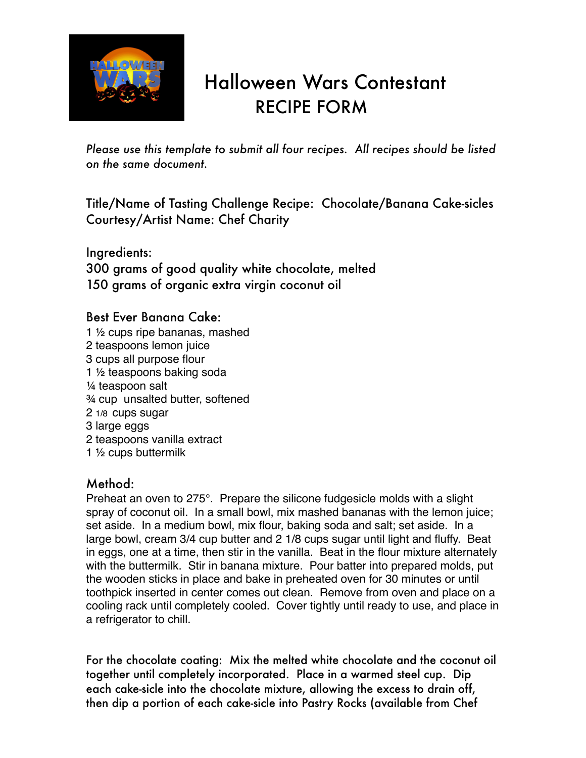

## Halloween Wars Contestant RECIPE FORM

*Please use this template to submit all four recipes. All recipes should be listed on the same document.*

Title/Name of Tasting Challenge Recipe: Chocolate/Banana Cake-sicles Courtesy/Artist Name: Chef Charity

Ingredients: 300 grams of good quality white chocolate, melted 150 grams of organic extra virgin coconut oil

## Best Ever Banana Cake:

1 ½ cups ripe bananas, mashed 2 teaspoons lemon juice 3 cups all purpose flour 1 ½ teaspoons baking soda ¼ teaspoon salt ¾ cup unsalted butter, softened 2 1/8 cups sugar 3 large eggs 2 teaspoons vanilla extract 1 ½ cups buttermilk

## Method:

Preheat an oven to 275°. Prepare the silicone fudgesicle molds with a slight spray of coconut oil. In a small bowl, mix mashed bananas with the lemon juice; set aside. In a medium bowl, mix flour, baking soda and salt; set aside. In a large bowl, cream 3/4 cup butter and 2 1/8 cups sugar until light and fluffy. Beat in eggs, one at a time, then stir in the vanilla. Beat in the flour mixture alternately with the buttermilk. Stir in banana mixture. Pour batter into prepared molds, put the wooden sticks in place and bake in preheated oven for 30 minutes or until toothpick inserted in center comes out clean. Remove from oven and place on a cooling rack until completely cooled. Cover tightly until ready to use, and place in a refrigerator to chill.

For the chocolate coating: Mix the melted white chocolate and the coconut oil together until completely incorporated. Place in a warmed steel cup. Dip each cake-sicle into the chocolate mixture, allowing the excess to drain off, then dip a portion of each cake-sicle into Pastry Rocks (available from Chef